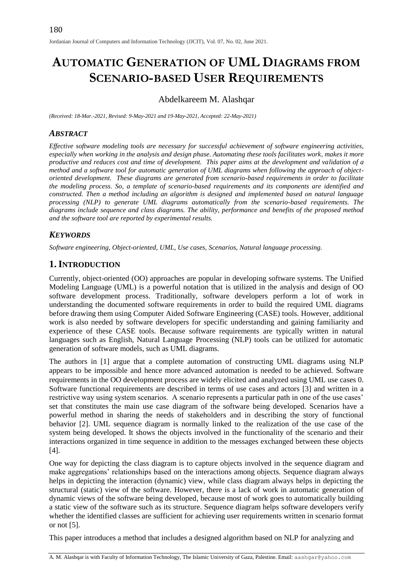# **AUTOMATIC GENERATION OF UML DIAGRAMS FROM SCENARIO-BASED USER REQUIREMENTS**

## Abdelkareem M. Alashqar

*(Received: 18-Mar.-2021, Revised: 9-May-2021 and 19-May-2021, Accepted: 22-May-2021)*

#### *ABSTRACT*

*Effective software modeling tools are necessary for successful achievement of software engineering activities, especially when working in the analysis and design phase. Automating these tools facilitates work, makes it more productive and reduces cost and time of development. This paper aims at the development and validation of a method and a software tool for automatic generation of UML diagrams when following the approach of objectoriented development. These diagrams are generated from scenario-based requirements in order to facilitate the modeling process. So, a template of scenario-based requirements and its components are identified and constructed. Then a method including an algorithm is designed and implemented based on natural language processing (NLP) to generate UML diagrams automatically from the scenario-based requirements. The diagrams include sequence and class diagrams. The ability, performance and benefits of the proposed method and the software tool are reported by experimental results.*

#### *KEYWORDS*

*Software engineering, Object-oriented, UML, Use cases, Scenarios, Natural language processing.*

# **1.INTRODUCTION**

Currently, object-oriented (OO) approaches are popular in developing software systems. The Unified Modeling Language (UML) is a powerful notation that is utilized in the analysis and design of OO software development process. Traditionally, software developers perform a lot of work in understanding the documented software requirements in order to build the required UML diagrams before drawing them using Computer Aided Software Engineering (CASE) tools. However, additional work is also needed by software developers for specific understanding and gaining familiarity and experience of these CASE tools. Because software requirements are typically written in natural languages such as English, Natural Language Processing (NLP) tools can be utilized for automatic generation of software models, such as UML diagrams.

The authors in [1] argue that a complete automation of constructing UML diagrams using NLP appears to be impossible and hence more advanced automation is needed to be achieved. Software requirements in the OO development process are widely elicited and analyzed using UML use cases [0.](#page-10-0) Software functional requirements are described in terms of use cases and actors [3] and written in a restrictive way using system scenarios. A scenario represents a particular path in one of the use cases' set that constitutes the main use case diagram of the software being developed. Scenarios have a powerful method in sharing the needs of stakeholders and in describing the story of functional behavior [2]. UML sequence diagram is normally linked to the realization of the use case of the system being developed. It shows the objects involved in the functionality of the scenario and their interactions organized in time sequence in addition to the messages exchanged between these objects [4].

One way for depicting the class diagram is to capture objects involved in the sequence diagram and make aggregations' relationships based on the interactions among objects. Sequence diagram always helps in depicting the interaction (dynamic) view, while class diagram always helps in depicting the structural (static) view of the software. However, there is a lack of work in automatic generation of dynamic views of the software being developed, because most of work goes to automatically building a static view of the software such as its structure. Sequence diagram helps software developers verify whether the identified classes are sufficient for achieving user requirements written in scenario format or not [5].

This paper introduces a method that includes a designed algorithm based on NLP for analyzing and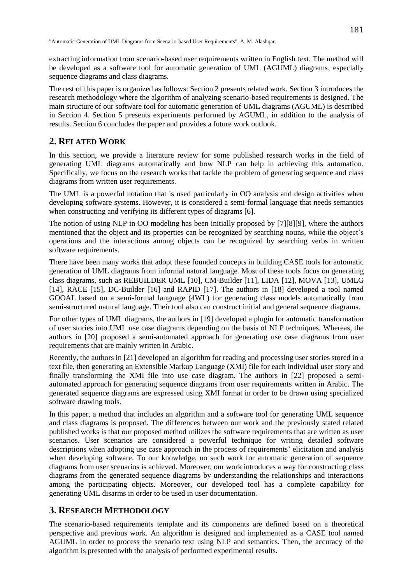extracting information from scenario-based user requirements written in English text. The method will be developed as a software tool for automatic generation of UML (AGUML) diagrams, especially sequence diagrams and class diagrams.

The rest of this paper is organized as follows: Section 2 presents related work. Section 3 introduces the research methodology where the algorithm of analyzing scenario-based requirements is designed. The main structure of our software tool for automatic generation of UML diagrams (AGUML) is described in Section 4. Section 5 presents experiments performed by AGUML, in addition to the analysis of results. Section 6 concludes the paper and provides a future work outlook.

## **2. RELATED WORK**

In this section, we provide a literature review for some published research works in the field of generating UML diagrams automatically and how NLP can help in achieving this automation. Specifically, we focus on the research works that tackle the problem of generating sequence and class diagrams from written user requirements.

The UML is a powerful notation that is used particularly in OO analysis and design activities when developing software systems. However, it is considered a semi-formal language that needs semantics when constructing and verifying its different types of diagrams [6].

The notion of using NLP in OO modeling has been initially proposed by [7][8][9], where the authors mentioned that the object and its properties can be recognized by searching nouns, while the object's operations and the interactions among objects can be recognized by searching verbs in written software requirements.

There have been many works that adopt these founded concepts in building CASE tools for automatic generation of UML diagrams from informal natural language. Most of these tools focus on generating class diagrams, such as REBUILDER UML [10], CM-Builder [11], LIDA [12], MOVA [13], UMLG [14], RACE [15], DC-Builder [16] and RAPID [17]. The authors in [18] developed a tool named GOOAL based on a semi-formal language (4WL) for generating class models automatically from semi-structured natural language. Their tool also can construct initial and general sequence diagrams.

For other types of UML diagrams, the authors in [19] developed a plugin for automatic transformation of user stories into UML use case diagrams depending on the basis of NLP techniques. Whereas, the authors in [20] proposed a semi-automated approach for generating use case diagrams from user requirements that are mainly written in Arabic.

Recently, the authors in [21] developed an algorithm for reading and processing user stories stored in a text file, then generating an Extensible Markup Language (XMI) file for each individual user story and finally transforming the XMI file into use case diagram. The authors in [22] proposed a semiautomated approach for generating sequence diagrams from user requirements written in Arabic. The generated sequence diagrams are expressed using XMI format in order to be drawn using specialized software drawing tools.

In this paper, a method that includes an algorithm and a software tool for generating UML sequence and class diagrams is proposed. The differences between our work and the previously stated related published works is that our proposed method utilizes the software requirements that are written as user scenarios. User scenarios are considered a powerful technique for writing detailed software descriptions when adopting use case approach in the process of requirements' elicitation and analysis when developing software. To our knowledge, no such work for automatic generation of sequence diagrams from user scenarios is achieved. Moreover, our work introduces a way for constructing class diagrams from the generated sequence diagrams by understanding the relationships and interactions among the participating objects. Moreover, our developed tool has a complete capability for generating UML disarms in order to be used in user documentation.

#### **3. RESEARCH METHODOLOGY**

The scenario-based requirements template and its components are defined based on a theoretical perspective and previous work. An algorithm is designed and implemented as a CASE tool named AGUML in order to process the scenario text using NLP and semantics. Then, the accuracy of the algorithm is presented with the analysis of performed experimental results.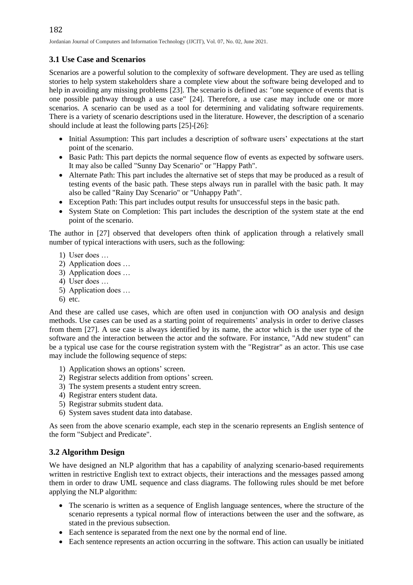### **3.1 Use Case and Scenarios**

Scenarios are a powerful solution to the complexity of software development. They are used as telling stories to help system stakeholders share a complete view about the software being developed and to help in avoiding any missing problems [23]. The scenario is defined as: "one sequence of events that is one possible pathway through a use case" [24]. Therefore, a use case may include one or more scenarios. A scenario can be used as a tool for determining and validating software requirements. There is a variety of scenario descriptions used in the literature. However, the description of a scenario should include at least the following parts [25]-[26]:

- Initial Assumption: This part includes a description of software users' expectations at the start point of the scenario.
- Basic Path: This part depicts the normal sequence flow of events as expected by software users. It may also be called "Sunny Day Scenario" or "Happy Path".
- Alternate Path: This part includes the alternative set of steps that may be produced as a result of testing events of the basic path. These steps always run in parallel with the basic path. It may also be called "Rainy Day Scenario" or "Unhappy Path".
- Exception Path: This part includes output results for unsuccessful steps in the basic path.
- System State on Completion: This part includes the description of the system state at the end point of the scenario.

The author in [27] observed that developers often think of application through a relatively small number of typical interactions with users, such as the following:

- 1) User does …
- 2) Application does …
- 3) Application does …
- 4) User does …
- 5) Application does …
- 6) etc.

And these are called use cases, which are often used in conjunction with OO analysis and design methods. Use cases can be used as a starting point of requirements' analysis in order to derive classes from them [27]. A use case is always identified by its name, the actor which is the user type of the software and the interaction between the actor and the software. For instance, "Add new student" can be a typical use case for the course registration system with the "Registrar" as an actor. This use case may include the following sequence of steps:

- 1) Application shows an options' screen.
- 2) Registrar selects addition from options' screen.
- 3) The system presents a student entry screen.
- 4) Registrar enters student data.
- 5) Registrar submits student data.
- 6) System saves student data into database.

As seen from the above scenario example, each step in the scenario represents an English sentence of the form "Subject and Predicate".

#### **3.2 Algorithm Design**

We have designed an NLP algorithm that has a capability of analyzing scenario-based requirements written in restrictive English text to extract objects, their interactions and the messages passed among them in order to draw UML sequence and class diagrams. The following rules should be met before applying the NLP algorithm:

- The scenario is written as a sequence of English language sentences, where the structure of the scenario represents a typical normal flow of interactions between the user and the software, as stated in the previous subsection.
- Each sentence is separated from the next one by the normal end of line.
- Each sentence represents an action occurring in the software. This action can usually be initiated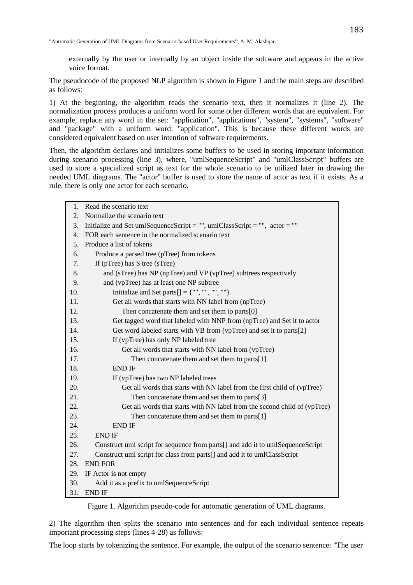externally by the user or internally by an object inside the software and appears in the active voice format.

The pseudocode of the proposed NLP algorithm is shown in Figure 1 and the main steps are described as follows:

1) At the beginning, the algorithm reads the scenario text, then it normalizes it (line 2). The normalization process produces a uniform word for some other different words that are equivalent. For example, replace any word in the set: "application", "applications", "system", "systems", "software" and "package" with a uniform word: "application". This is because these different words are considered equivalent based on user intention of software requirements.

Then, the algorithm declares and initializes some buffers to be used in storing important information during scenario processing (line 3), where, "umlSequenceScript" and "umlClassScript" buffers are used to store a specialized script as text for the whole scenario to be utilized later in drawing the needed UML diagrams. The "actor" buffer is used to store the name of actor as text if it exists. As a rule, there is only one actor for each scenario.

| 1.               | Read the scenario text                                                         |  |  |  |  |  |  |  |
|------------------|--------------------------------------------------------------------------------|--|--|--|--|--|--|--|
| $\overline{2}$ . | Normalize the scenario text                                                    |  |  |  |  |  |  |  |
| 3.               | Initialize and Set umlSequenceScript = "", umlClassScript = "", actor = ""     |  |  |  |  |  |  |  |
| 4.               | FOR each sentence in the normalized scenario text                              |  |  |  |  |  |  |  |
| 5.               | Produce a list of tokens                                                       |  |  |  |  |  |  |  |
| б.               | Produce a parsed tree (pTree) from tokens                                      |  |  |  |  |  |  |  |
| 7.               | If $(pTree)$ has S tree $(sTree)$                                              |  |  |  |  |  |  |  |
| 8.               | and (sTree) has NP (npTree) and VP (vpTree) subtrees respectively              |  |  |  |  |  |  |  |
| 9.               | and (vpTree) has at least one NP subtree                                       |  |  |  |  |  |  |  |
| 10.              | Initialize and Set parts[] = {"", "", "", ""}                                  |  |  |  |  |  |  |  |
| 11.              | Get all words that starts with NN label from (npTree)                          |  |  |  |  |  |  |  |
| 12.              | Then concatenate them and set them to parts[0]                                 |  |  |  |  |  |  |  |
| 13.              | Get tagged word that labeled with NNP from (npTree) and Set it to actor        |  |  |  |  |  |  |  |
| 14.              | Get word labeled starts with VB from (vpTree) and set it to parts[2]           |  |  |  |  |  |  |  |
| 15.              | If (vpTree) has only NP labeled tree                                           |  |  |  |  |  |  |  |
| 16.              | Get all words that starts with NN label from (vpTree)                          |  |  |  |  |  |  |  |
| 17.              | Then concatenate them and set them to parts $[1]$                              |  |  |  |  |  |  |  |
| 18.              | <b>END IF</b>                                                                  |  |  |  |  |  |  |  |
| 19.              | If (vpTree) has two NP labeled trees                                           |  |  |  |  |  |  |  |
| 20.              | Get all words that starts with NN label from the first child of (vpTree)       |  |  |  |  |  |  |  |
| 21.              | Then concatenate them and set them to parts[3]                                 |  |  |  |  |  |  |  |
| 22.              | Get all words that starts with NN label from the second child of (vpTree)      |  |  |  |  |  |  |  |
| 23.              | Then concatenate them and set them to parts $[1]$                              |  |  |  |  |  |  |  |
| 24.              | <b>END IF</b>                                                                  |  |  |  |  |  |  |  |
| 25.              | <b>END IF</b>                                                                  |  |  |  |  |  |  |  |
| 26.              | Construct uml script for sequence from parts[] and add it to umlSequenceScript |  |  |  |  |  |  |  |
| 27.              | Construct uml script for class from parts[] and add it to umlClassScript       |  |  |  |  |  |  |  |
| 28.              | <b>END FOR</b>                                                                 |  |  |  |  |  |  |  |
| 29.              | IF Actor is not empty                                                          |  |  |  |  |  |  |  |
| 30.              | Add it as a prefix to umlSequenceScript                                        |  |  |  |  |  |  |  |
| 31.              | <b>END IF</b>                                                                  |  |  |  |  |  |  |  |

Figure 1. Algorithm pseudo-code for automatic generation of UML diagrams.

2) The algorithm then splits the scenario into sentences and for each individual sentence repeats important processing steps (lines 4-28) as follows:

The loop starts by tokenizing the sentence. For example, the output of the scenario sentence: "The user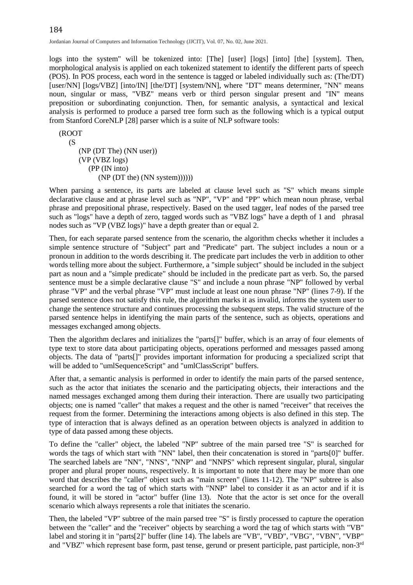logs into the system" will be tokenized into: [The] [user] [logs] [into] [the] [system]. Then, morphological analysis is applied on each tokenized statement to identify the different parts of speech (POS). In POS process, each word in the sentence is tagged or labeled individually such as: (The/DT) [user/NN] [logs/VBZ] [into/IN] [the/DT] [system/NN], where "DT" means determiner, "NN" means noun, singular or mass, "VBZ" means verb or third person singular present and "IN" means preposition or subordinating conjunction. Then, for semantic analysis, a syntactical and lexical analysis is performed to produce a parsed tree form such as the following which is a typical output from Stanford CoreNLP [28] parser which is a suite of NLP software tools:

(ROOT  $(S<sub>0</sub>)$  (NP (DT The) (NN user)) (VP (VBZ logs) (PP (IN into) (NP (DT the) (NN system))))))

When parsing a sentence, its parts are labeled at clause level such as "S" which means simple declarative clause and at phrase level such as "NP", "VP" and "PP" which mean noun phrase, verbal phrase and prepositional phrase, respectively. Based on the used tagger, leaf nodes of the parsed tree such as "logs" have a depth of zero, tagged words such as "VBZ logs" have a depth of 1 and phrasal nodes such as "VP (VBZ logs)" have a depth greater than or equal 2.

Then, for each separate parsed sentence from the scenario, the algorithm checks whether it includes a simple sentence structure of "Subject" part and "Predicate" part. The subject includes a noun or a pronoun in addition to the words describing it. The predicate part includes the verb in addition to other words telling more about the subject. Furthermore, a "simple subject" should be included in the subject part as noun and a "simple predicate" should be included in the predicate part as verb. So, the parsed sentence must be a simple declarative clause "S" and include a noun phrase "NP" followed by verbal phrase "VP" and the verbal phrase "VP" must include at least one noun phrase "NP" (lines 7-9). If the parsed sentence does not satisfy this rule, the algorithm marks it as invalid, informs the system user to change the sentence structure and continues processing the subsequent steps. The valid structure of the parsed sentence helps in identifying the main parts of the sentence, such as objects, operations and messages exchanged among objects.

Then the algorithm declares and initializes the "parts[]" buffer, which is an array of four elements of type text to store data about participating objects, operations performed and messages passed among objects. The data of "parts[]" provides important information for producing a specialized script that will be added to "umlSequenceScript" and "umlClassScript" buffers.

After that, a semantic analysis is performed in order to identify the main parts of the parsed sentence, such as the actor that initiates the scenario and the participating objects, their interactions and the named messages exchanged among them during their interaction. There are usually two participating objects; one is named "caller" that makes a request and the other is named "receiver" that receives the request from the former. Determining the interactions among objects is also defined in this step. The type of interaction that is always defined as an operation between objects is analyzed in addition to type of data passed among these objects.

To define the "caller" object, the labeled "NP" subtree of the main parsed tree "S" is searched for words the tags of which start with "NN" label, then their concatenation is stored in "parts[0]" buffer. The searched labels are "NN", "NNS", "NNP" and "NNPS" which represent singular, plural, singular proper and plural proper nouns, respectively. It is important to note that there may be more than one word that describes the "caller" object such as "main screen" (lines 11-12). The "NP" subtree is also searched for a word the tag of which starts with "NNP" label to consider it as an actor and if it is found, it will be stored in "actor" buffer (line 13). Note that the actor is set once for the overall scenario which always represents a role that initiates the scenario.

Then, the labeled "VP" subtree of the main parsed tree "S" is firstly processed to capture the operation between the "caller" and the "receiver" objects by searching a word the tag of which starts with "VB" label and storing it in "parts[2]" buffer (line 14). The labels are "VB", "VBD", "VBG", "VBN", "VBP" and "VBZ" which represent base form, past tense, gerund or present participle, past participle, non-3<sup>rd</sup>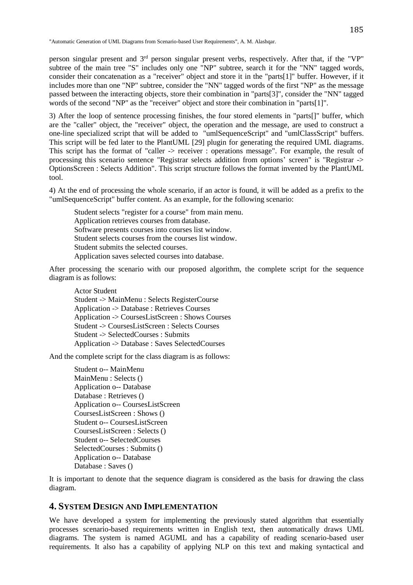person singular present and 3<sup>rd</sup> person singular present verbs, respectively. After that, if the "VP" subtree of the main tree "S" includes only one "NP" subtree, search it for the "NN" tagged words, consider their concatenation as a "receiver" object and store it in the "parts[1]" buffer. However, if it includes more than one "NP" subtree, consider the "NN" tagged words of the first "NP" as the message passed between the interacting objects, store their combination in "parts[3]", consider the "NN" tagged words of the second "NP" as the "receiver" object and store their combination in "parts[1]".

3) After the loop of sentence processing finishes, the four stored elements in "parts[]" buffer, which are the "caller" object, the "receiver" object, the operation and the message, are used to construct a one-line specialized script that will be added to "umlSequenceScript" and "umlClassScript" buffers. This script will be fed later to the PlantUML [29] plugin for generating the required UML diagrams. This script has the format of "caller -> receiver : operations message". For example, the result of processing this scenario sentence "Registrar selects addition from options' screen" is "Registrar -> OptionsScreen : Selects Addition". This script structure follows the format invented by the PlantUML tool.

4) At the end of processing the whole scenario, if an actor is found, it will be added as a prefix to the "umlSequenceScript" buffer content. As an example, for the following scenario:

Student selects "register for a course" from main menu. Application retrieves courses from database. Software presents courses into courses list window. Student selects courses from the courses list window. Student submits the selected courses. Application saves selected courses into database.

After processing the scenario with our proposed algorithm, the complete script for the sequence diagram is as follows:

Actor Student Student -> MainMenu : Selects RegisterCourse Application -> Database : Retrieves Courses Application -> CoursesListScreen : Shows Courses Student -> CoursesListScreen : Selects Courses Student -> SelectedCourses : Submits Application -> Database : Saves SelectedCourses

And the complete script for the class diagram is as follows:

Student o-- MainMenu MainMenu : Selects () Application o-- Database Database : Retrieves () Application o-- CoursesListScreen CoursesListScreen : Shows () Student o-- CoursesListScreen CoursesListScreen : Selects () Student o-- SelectedCourses SelectedCourses : Submits () Application o-- Database Database : Saves ()

It is important to denote that the sequence diagram is considered as the basis for drawing the class diagram.

# **4. SYSTEM DESIGN AND IMPLEMENTATION**

We have developed a system for implementing the previously stated algorithm that essentially processes scenario-based requirements written in English text, then automatically draws UML diagrams. The system is named AGUML and has a capability of reading scenario-based user requirements. It also has a capability of applying NLP on this text and making syntactical and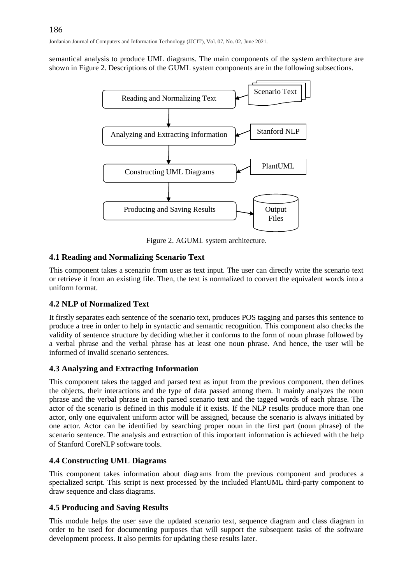semantical analysis to produce UML diagrams. The main components of the system architecture are shown in Figure 2. Descriptions of the GUML system components are in the following subsections.



Figure 2. AGUML system architecture.

#### **4.1 Reading and Normalizing Scenario Text**

This component takes a scenario from user as text input. The user can directly write the scenario text or retrieve it from an existing file. Then, the text is normalized to convert the equivalent words into a uniform format.

#### **4.2 NLP of Normalized Text**

It firstly separates each sentence of the scenario text, produces POS tagging and parses this sentence to produce a tree in order to help in syntactic and semantic recognition. This component also checks the validity of sentence structure by deciding whether it conforms to the form of noun phrase followed by a verbal phrase and the verbal phrase has at least one noun phrase. And hence, the user will be informed of invalid scenario sentences.

#### **4.3 Analyzing and Extracting Information**

This component takes the tagged and parsed text as input from the previous component, then defines the objects, their interactions and the type of data passed among them. It mainly analyzes the noun phrase and the verbal phrase in each parsed scenario text and the tagged words of each phrase. The actor of the scenario is defined in this module if it exists. If the NLP results produce more than one actor, only one equivalent uniform actor will be assigned, because the scenario is always initiated by one actor. Actor can be identified by searching proper noun in the first part (noun phrase) of the scenario sentence. The analysis and extraction of this important information is achieved with the help of Stanford CoreNLP software tools.

#### **4.4 Constructing UML Diagrams**

This component takes information about diagrams from the previous component and produces a specialized script. This script is next processed by the included PlantUML third-party component to draw sequence and class diagrams.

#### **4.5 Producing and Saving Results**

This module helps the user save the updated scenario text, sequence diagram and class diagram in order to be used for documenting purposes that will support the subsequent tasks of the software development process. It also permits for updating these results later.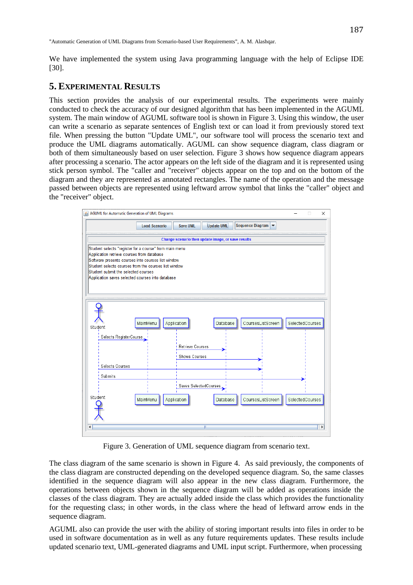187

We have implemented the system using Java programming language with the help of Eclipse IDE [30].

# **5. EXPERIMENTAL RESULTS**

This section provides the analysis of our experimental results. The experiments were mainly conducted to check the accuracy of our designed algorithm that has been implemented in the AGUML system. The main window of AGUML software tool is shown in Figure 3. Using this window, the user can write a scenario as separate sentences of English text or can load it from previously stored text file. When pressing the button "Update UML", our software tool will process the scenario text and produce the UML diagrams automatically. AGUML can show sequence diagram, class diagram or both of them simultaneously based on user selection. Figure 3 shows how sequence diagram appears after processing a scenario. The actor appears on the left side of the diagram and it is represented using stick person symbol. The "caller and "receiver" objects appear on the top and on the bottom of the diagram and they are represented as annotated rectangles. The name of the operation and the message passed between objects are represented using leftward arrow symbol that links the "caller" object and the "receiver" object.



Figure 3. Generation of UML sequence diagram from scenario text.

The class diagram of the same scenario is shown in Figure 4. As said previously, the components of the class diagram are constructed depending on the developed sequence diagram. So, the same classes identified in the sequence diagram will also appear in the new class diagram. Furthermore, the operations between objects shown in the sequence diagram will be added as operations inside the classes of the class diagram. They are actually added inside the class which provides the functionality for the requesting class; in other words, in the class where the head of leftward arrow ends in the sequence diagram.

AGUML also can provide the user with the ability of storing important results into files in order to be used in software documentation as in well as any future requirements updates. These results include updated scenario text, UML-generated diagrams and UML input script. Furthermore, when processing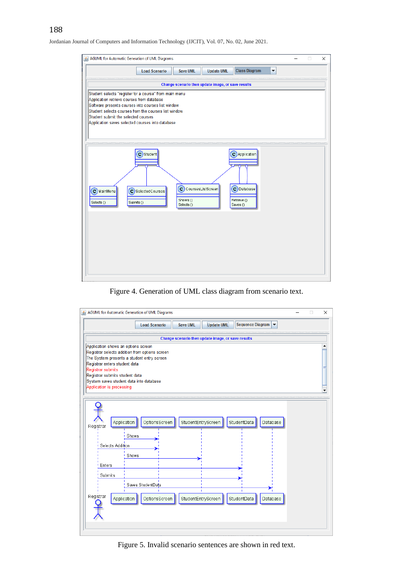

#### Figure 4. Generation of UML class diagram from scenario text.



Figure 5. Invalid scenario sentences are shown in red text.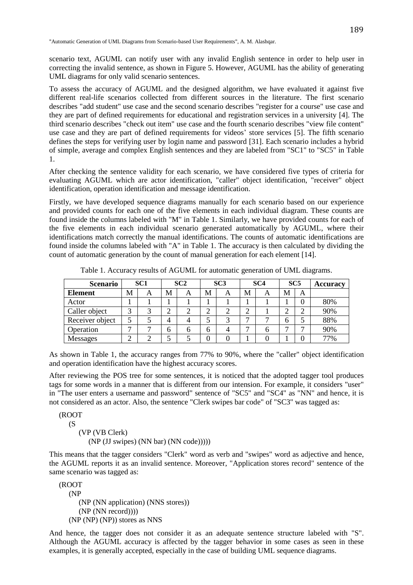scenario text, AGUML can notify user with any invalid English sentence in order to help user in correcting the invalid sentence, as shown in Figure 5. However, AGUML has the ability of generating UML diagrams for only valid scenario sentences.

To assess the accuracy of AGUML and the designed algorithm, we have evaluated it against five different real-life scenarios collected from different sources in the literature. The first scenario describes "add student" use case and the second scenario describes "register for a course" use case and they are part of defined requirements for educational and registration services in a university [4]. The third scenario describes "check out item" use case and the fourth scenario describes "view file content" use case and they are part of defined requirements for videos' store services [5]. The fifth scenario defines the steps for verifying user by login name and password [31]. Each scenario includes a hybrid of simple, average and complex English sentences and they are labeled from "SC1" to "SC5" in Table 1.

After checking the sentence validity for each scenario, we have considered five types of criteria for evaluating AGUML which are actor identification, "caller" object identification, "receiver" object identification, operation identification and message identification.

Firstly, we have developed sequence diagrams manually for each scenario based on our experience and provided counts for each one of the five elements in each individual diagram. These counts are found inside the columns labeled with "M" in Table 1. Similarly, we have provided counts for each of the five elements in each individual scenario generated automatically by AGUML, where their identifications match correctly the manual identifications. The counts of automatic identifications are found inside the columns labeled with "A" in Table 1. The accuracy is then calculated by dividing the count of automatic generation by the count of manual generation for each element [14].

| <b>Scenario</b> | SC <sub>1</sub> |   | SC2 |   | SC <sub>3</sub> |   | SC <sub>4</sub> |   | SC <sub>5</sub> |   | <b>Accuracy</b> |
|-----------------|-----------------|---|-----|---|-----------------|---|-----------------|---|-----------------|---|-----------------|
| <b>Element</b>  | M               | А | M   | A | M               | A | M               | A | M               | А |                 |
| Actor           |                 |   |     |   |                 |   |                 |   |                 | 0 | 80%             |
| Caller object   | ⌒               | ⌒ | ⌒   |   | ⌒               |   | ◠               |   | ⌒<br>↩          | ⌒ | 90%             |
| Receiver object |                 |   | 4   |   |                 | 2 |                 |   | h               |   | 88%             |
| Operation       | $\overline{ }$  |   |     | 6 | 6               |   |                 |   | -               | − | 90%             |
| Messages        | $\sim$<br>∸     |   |     |   |                 |   |                 |   |                 | 0 | 77%             |

Table 1. Accuracy results of AGUML for automatic generation of UML diagrams.

As shown in Table 1, the accuracy ranges from 77% to 90%, where the "caller" object identification and operation identification have the highest accuracy scores.

After reviewing the POS tree for some sentences, it is noticed that the adopted tagger tool produces tags for some words in a manner that is different from our intension. For example, it considers "user" in "The user enters a username and password" sentence of "SC5" and "SC4" as "NN" and hence, it is not considered as an actor. Also, the sentence "Clerk swipes bar code" of "SC3" was tagged as:

(ROOT  $(S$ 

(VP (VB Clerk)

(NP (JJ swipes) (NN bar) (NN code)))))

This means that the tagger considers "Clerk" word as verb and "swipes" word as adjective and hence, the AGUML reports it as an invalid sentence. Moreover, "Application stores record" sentence of the same scenario was tagged as:

(ROOT (NP (NP (NN application) (NNS stores)) (NP (NN record)))) (NP (NP) (NP)) stores as NNS

And hence, the tagger does not consider it as an adequate sentence structure labeled with "S". Although the AGUML accuracy is affected by the tagger behavior in some cases as seen in these examples, it is generally accepted, especially in the case of building UML sequence diagrams.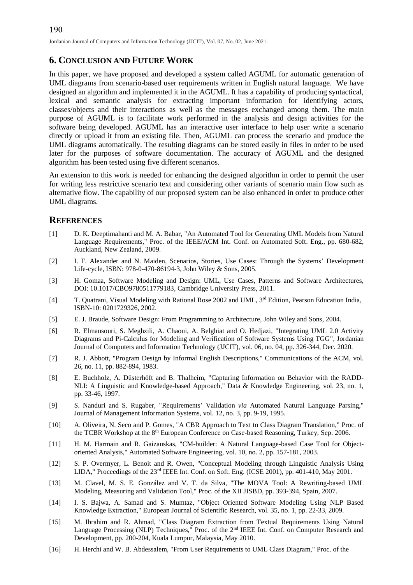# **6. CONCLUSION AND FUTURE WORK**

In this paper, we have proposed and developed a system called AGUML for automatic generation of UML diagrams from scenario-based user requirements written in English natural language. We have designed an algorithm and implemented it in the AGUML. It has a capability of producing syntactical, lexical and semantic analysis for extracting important information for identifying actors, classes/objects and their interactions as well as the messages exchanged among them. The main purpose of AGUML is to facilitate work performed in the analysis and design activities for the software being developed. AGUML has an interactive user interface to help user write a scenario directly or upload it from an existing file. Then, AGUML can process the scenario and produce the UML diagrams automatically. The resulting diagrams can be stored easily in files in order to be used later for the purposes of software documentation. The accuracy of AGUML and the designed algorithm has been tested using five different scenarios.

An extension to this work is needed for enhancing the designed algorithm in order to permit the user for writing less restrictive scenario text and considering other variants of scenario main flow such as alternative flow. The capability of our proposed system can be also enhanced in order to produce other UML diagrams.

#### **REFERENCES**

- <span id="page-10-0"></span>[1] D. K. Deeptimahanti and M. A. Babar, "An Automated Tool for Generating UML Models from Natural Language Requirements," Proc. of the IEEE/ACM Int. Conf. on Automated Soft. Eng., pp. 680-682, Auckland, New Zealand, 2009.
- [2] I. F. Alexander and N. Maiden, Scenarios, Stories, Use Cases: Through the Systems' Development Life-cycle, ISBN: 978-0-470-86194-3, John Wiley & Sons, 2005.
- [3] H. Gomaa, Software Modeling and Design: UML, Use Cases, Patterns and Software Architectures, DOI: 10.1017/CBO9780511779183, Cambridge University Press, 2011.
- [4] T. Quatrani, Visual Modeling with Rational Rose 2002 and UML, 3<sup>rd</sup> Edition, Pearson Education India, ISBN-10: 0201729326, 2002.
- [5] E. J. Braude, Software Design: From Programming to Architecture, John Wiley and Sons, 2004.
- [6] R. Elmansouri, S. Meghzili, A. Chaoui, A. Belghiat and O. Hedjazi, "Integrating UML 2.0 Activity Diagrams and Pi-Calculus for Modeling and Verification of Software Systems Using TGG", Jordanian Journal of Computers and Information Technology (JJCIT), vol. 06, no. 04, pp. 326-344, Dec. 2020.
- [7] R. J. Abbott, "Program Design by Informal English Descriptions," Communications of the ACM, vol. 26, no. 11, pp. 882-894, 1983.
- [8] E. Buchholz, A. Düsterhöft and B. Thalheim, "Capturing Information on Behavior with the RADD-NLI: A Linguistic and Knowledge-based Approach," Data & Knowledge Engineering, vol. 23, no. 1, pp. 33-46, 1997.
- [9] S. Nanduri and S. Rugaber, "Requirements' Validation *via* Automated Natural Language Parsing," Journal of Management Information Systems, vol. 12, no. 3, pp. 9-19, 1995.
- [10] A. Oliveira, N. Seco and P. Gomes, "A CBR Approach to Text to Class Diagram Translation," Proc. of the TCBR Workshop at the 8<sup>th</sup> European Conference on Case-based Reasoning, Turkey, Sep. 2006.
- [11] H. M. Harmain and R. Gaizauskas, "CM-builder: A Natural Language-based Case Tool for Objectoriented Analysis," Automated Software Engineering, vol. 10, no. 2, pp. 157-181, 2003.
- [12] S. P. Overmyer, L. Benoit and R. Owen, "Conceptual Modeling through Linguistic Analysis Using LIDA," Proceedings of the  $23<sup>rd</sup>$  IEEE Int. Conf. on Soft. Eng. (ICSE 2001), pp. 401-410, May 2001.
- [13] M. Clavel, M. S. E. González and V. T. da Silva, "The MOVA Tool: A Rewriting-based UML Modeling, Measuring and Validation Tool," Proc. of the XII JISBD, pp. 393-394, Spain, 2007.
- [14] I. S. Bajwa, A. Samad and S. Mumtaz, "Object Oriented Software Modeling Using NLP Based Knowledge Extraction," European Journal of Scientific Research, vol. 35, no. 1, pp. 22-33, 2009.
- [15] M. Ibrahim and R. Ahmad, "Class Diagram Extraction from Textual Requirements Using Natural Language Processing (NLP) Techniques," Proc. of the 2<sup>nd</sup> IEEE Int. Conf. on Computer Research and Development, pp. 200-204, Kuala Lumpur, Malaysia, May 2010.
- [16] H. Herchi and W. B. Abdessalem, "From User Requirements to UML Class Diagram," Proc. of the